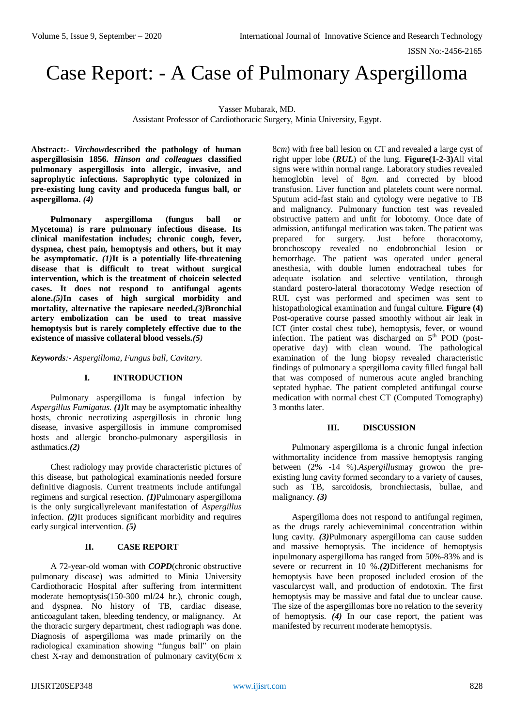ISSN No:-2456-2165

# Case Report: - A Case of Pulmonary Aspergilloma

Yasser Mubarak, MD. Assistant Professor of Cardiothoracic Surgery, Minia University, Egypt.

**Abstract:-** *Virchow***described the pathology of human aspergillosisin 1856.** *Hinson and colleagues* **classified pulmonary aspergillosis into allergic, invasive, and saprophytic infections. Saprophytic type colonized in pre-existing lung cavity and produceda fungus ball, or aspergilloma.** *(4)*

**Pulmonary aspergilloma (fungus ball or Mycetoma) is rare pulmonary infectious disease. Its clinical manifestation includes; chronic cough, fever, dyspnea, chest pain, hemoptysis and others, but it may be asymptomatic.** *(1)***It is a potentially life-threatening disease that is difficult to treat without surgical intervention, which is the treatment of choicein selected cases. It does not respond to antifungal agents alone.***(5)***In cases of high surgical morbidity and mortality, alternative the rapiesare needed.***(3)***Bronchial artery embolization can be used to treat massive hemoptysis but is rarely completely effective due to the existence of massive collateral blood vessels.***(5)*

*Keywords:- Aspergilloma, Fungus ball, Cavitary.*

#### **I. INTRODUCTION**

Pulmonary aspergilloma is fungal infection by *Aspergillus Fumigatus. (1)*It may be asymptomatic inhealthy hosts, chronic necrotizing aspergillosis in chronic lung disease, invasive aspergillosis in immune compromised hosts and allergic broncho-pulmonary aspergillosis in asthmatics.*(2)*

Chest radiology may provide characteristic pictures of this disease, but pathological examinationis needed forsure definitive diagnosis. Current treatments include antifungal regimens and surgical resection. *(1)*Pulmonary aspergilloma is the only surgicallyrelevant manifestation of *Aspergillus*  infection. *(2)*It produces significant morbidity and requires early surgical intervention. *(5)*

## **II. CASE REPORT**

A 72-year-old woman with *COPD*(chronic obstructive pulmonary disease) was admitted to Minia University Cardiothoracic Hospital after suffering from intermittent moderate hemoptysis(150-300 ml/24 hr.), chronic cough, and dyspnea. No history of TB, cardiac disease, anticoagulant taken, bleeding tendency, or malignancy. At the thoracic surgery department, chest radiograph was done. Diagnosis of aspergilloma was made primarily on the radiological examination showing "fungus ball" on plain chest X-ray and demonstration of pulmonary cavity(6*cm* x

8*cm*) with free ball lesion on CT and revealed a large cyst of right upper lobe (*RUL*) of the lung. **Figure(1-2-3)**All vital signs were within normal range. Laboratory studies revealed hemoglobin level of 8*gm.* and corrected by blood transfusion. Liver function and platelets count were normal. Sputum acid-fast stain and cytology were negative to TB and malignancy. Pulmonary function test was revealed obstructive pattern and unfit for lobotomy. Once date of admission, antifungal medication was taken. The patient was prepared for surgery. Just before thoracotomy, bronchoscopy revealed no endobronchial lesion or hemorrhage. The patient was operated under general anesthesia, with double lumen endotracheal tubes for adequate isolation and selective ventilation, through standard postero-lateral thoracotomy Wedge resection of RUL cyst was performed and specimen was sent to histopathological examination and fungal culture. **Figure (4)** Post-operative course passed smoothly without air leak in ICT (inter costal chest tube), hemoptysis, fever, or wound infection. The patient was discharged on  $5<sup>th</sup>$  POD (postoperative day) with clean wound. The pathological examination of the lung biopsy revealed characteristic findings of pulmonary a spergilloma cavity filled fungal ball that was composed of numerous acute angled branching septated hyphae. The patient completed antifungal course medication with normal chest CT (Computed Tomography) 3 months later.

#### **III. DISCUSSION**

Pulmonary aspergilloma is a chronic fungal infection withmortality incidence from massive hemoptysis ranging between (2% -14 %).*Aspergillus*may growon the preexisting lung cavity formed secondary to a variety of causes, such as TB, sarcoidosis, bronchiectasis, bullae, and malignancy. *(3)*

Aspergilloma does not respond to antifungal regimen, as the drugs rarely achieveminimal concentration within lung cavity. *(3)*Pulmonary aspergilloma can cause sudden and massive hemoptysis. The incidence of hemoptysis inpulmonary aspergilloma has ranged from 50%-83% and is severe or recurrent in 10 %.*(2)*Different mechanisms for hemoptysis have been proposed included erosion of the vascularcyst wall, and production of endotoxin. The first hemoptysis may be massive and fatal due to unclear cause. The size of the aspergillomas bore no relation to the severity of hemoptysis. *(4)* In our case report, the patient was manifested by recurrent moderate hemoptysis.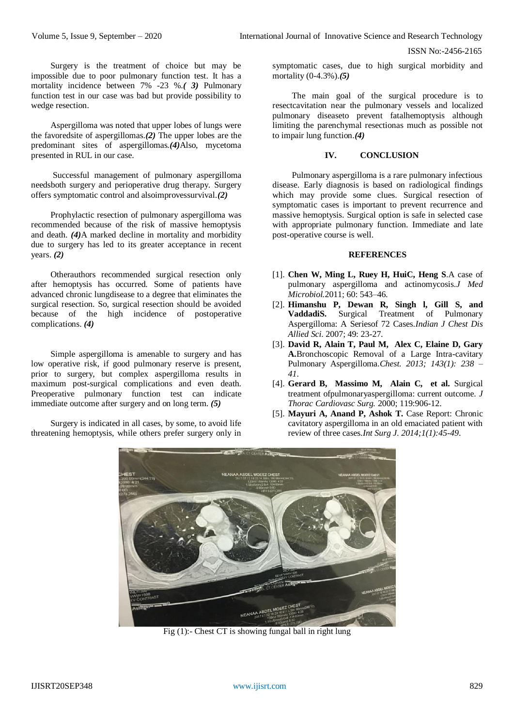ISSN No:-2456-2165

Surgery is the treatment of choice but may be impossible due to poor pulmonary function test. It has a mortality incidence between 7% -23 %.*( 3)* Pulmonary function test in our case was bad but provide possibility to wedge resection.

Aspergilloma was noted that upper lobes of lungs were the favoredsite of aspergillomas.*(2)* The upper lobes are the predominant sites of aspergillomas.*(4)*Also, mycetoma presented in RUL in our case.

Successful management of pulmonary aspergilloma needsboth surgery and perioperative drug therapy. Surgery offers symptomatic control and alsoimprovessurvival.*(2)*

Prophylactic resection of pulmonary aspergilloma was recommended because of the risk of massive hemoptysis and death. *(4)*A marked decline in mortality and morbidity due to surgery has led to its greater acceptance in recent years. *(2)*

Otherauthors recommended surgical resection only after hemoptysis has occurred. Some of patients have advanced chronic lungdisease to a degree that eliminates the surgical resection. So, surgical resection should be avoided because of the high incidence of postoperative complications. *(4)*

Simple aspergilloma is amenable to surgery and has low operative risk, if good pulmonary reserve is present, prior to surgery, but complex aspergilloma results in maximum post-surgical complications and even death. Preoperative pulmonary function test can indicate immediate outcome after surgery and on long term. *(5)*

Surgery is indicated in all cases, by some, to avoid life threatening hemoptysis, while others prefer surgery only in

symptomatic cases, due to high surgical morbidity and mortality (0-4.3%).*(5)*

The main goal of the surgical procedure is to resectcavitation near the pulmonary vessels and localized pulmonary diseaseto prevent fatalhemoptysis although limiting the parenchymal resectionas much as possible not to impair lung function.*(4)*

### **IV. CONCLUSION**

Pulmonary aspergilloma is a rare pulmonary infectious disease. Early diagnosis is based on radiological findings which may provide some clues. Surgical resection of symptomatic cases is important to prevent recurrence and massive hemoptysis. Surgical option is safe in selected case with appropriate pulmonary function. Immediate and late post-operative course is well.

#### **REFERENCES**

- [1]. **Chen W, Ming L, Ruey H, HuiC, Heng S**.A case of pulmonary aspergilloma and actinomycosis.*J Med Microbiol.*2011; 60: 543–46.
- [2]. **Himanshu P, Dewan R, Singh l, Gill S, and VaddadiS.** Surgical Treatment of Pulmonary Aspergilloma: A Seriesof 72 Cases.*Indian J Chest Dis Allied Sci*. 2007; 49: 23-27.
- [3]. **David R, Alain T, Paul M, Alex C, Elaine D, Gary A.**Bronchoscopic Removal of a Large Intra-cavitary Pulmonary Aspergilloma.*Chest. 2013; 143(1): 238 – 41*.
- [4]. **Gerard B, Massimo M, Alain C, et al.** Surgical treatment ofpulmonaryaspergilloma: current outcome. *J Thorac Cardiovasc Surg.* 2000; 119:906-12.
- [5]. **Mayuri A, Anand P, Ashok T.** Case Report: Chronic cavitatory aspergilloma in an old emaciated patient with review of three cases.*Int Surg J. 2014;1(1):45-49*.



Fig  $(1)$ :- Chest CT is showing fungal ball in right lung